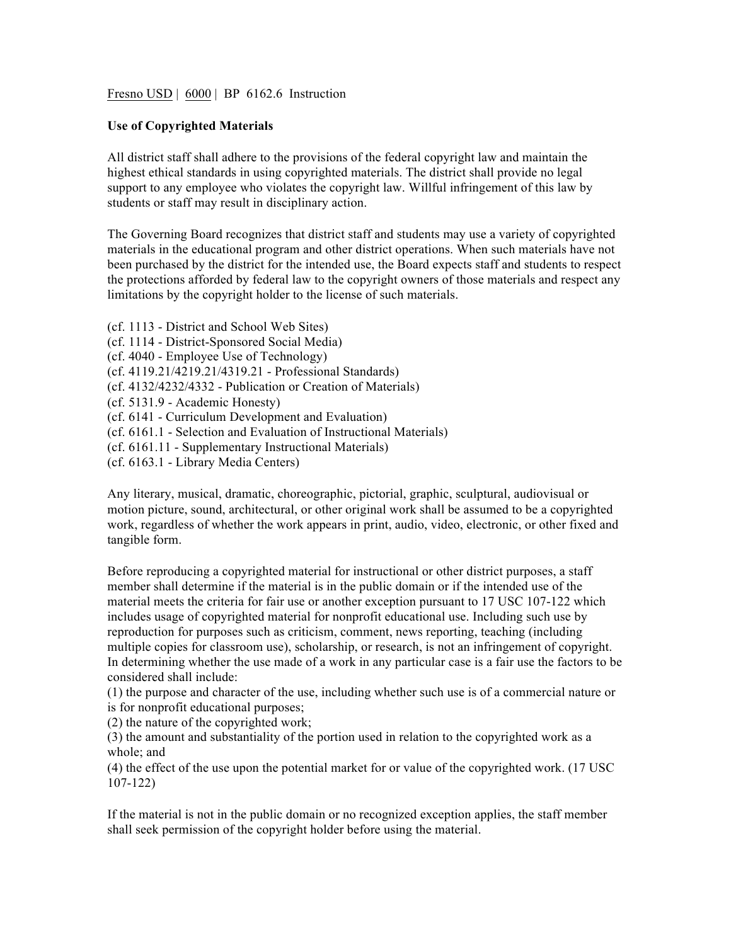Fresno USD | 6000 | BP 6162.6 Instruction

## **Use of Copyrighted Materials**

All district staff shall adhere to the provisions of the federal copyright law and maintain the highest ethical standards in using copyrighted materials. The district shall provide no legal support to any employee who violates the copyright law. Willful infringement of this law by students or staff may result in disciplinary action.

The Governing Board recognizes that district staff and students may use a variety of copyrighted materials in the educational program and other district operations. When such materials have not been purchased by the district for the intended use, the Board expects staff and students to respect the protections afforded by federal law to the copyright owners of those materials and respect any limitations by the copyright holder to the license of such materials.

(cf. 1113 - District and School Web Sites) (cf. 1114 - District-Sponsored Social Media) (cf. 4040 - Employee Use of Technology) (cf. 4119.21/4219.21/4319.21 - Professional Standards) (cf. 4132/4232/4332 - Publication or Creation of Materials) (cf. 5131.9 - Academic Honesty) (cf. 6141 - Curriculum Development and Evaluation) (cf. 6161.1 - Selection and Evaluation of Instructional Materials) (cf. 6161.11 - Supplementary Instructional Materials) (cf. 6163.1 - Library Media Centers)

Any literary, musical, dramatic, choreographic, pictorial, graphic, sculptural, audiovisual or motion picture, sound, architectural, or other original work shall be assumed to be a copyrighted work, regardless of whether the work appears in print, audio, video, electronic, or other fixed and tangible form.

Before reproducing a copyrighted material for instructional or other district purposes, a staff member shall determine if the material is in the public domain or if the intended use of the material meets the criteria for fair use or another exception pursuant to 17 USC 107-122 which includes usage of copyrighted material for nonprofit educational use. Including such use by reproduction for purposes such as criticism, comment, news reporting, teaching (including multiple copies for classroom use), scholarship, or research, is not an infringement of copyright. In determining whether the use made of a work in any particular case is a fair use the factors to be considered shall include:

(1) the purpose and character of the use, including whether such use is of a commercial nature or is for nonprofit educational purposes;

(2) the nature of the copyrighted work;

(3) the amount and substantiality of the portion used in relation to the copyrighted work as a whole; and

(4) the effect of the use upon the potential market for or value of the copyrighted work. (17 USC 107-122)

If the material is not in the public domain or no recognized exception applies, the staff member shall seek permission of the copyright holder before using the material.